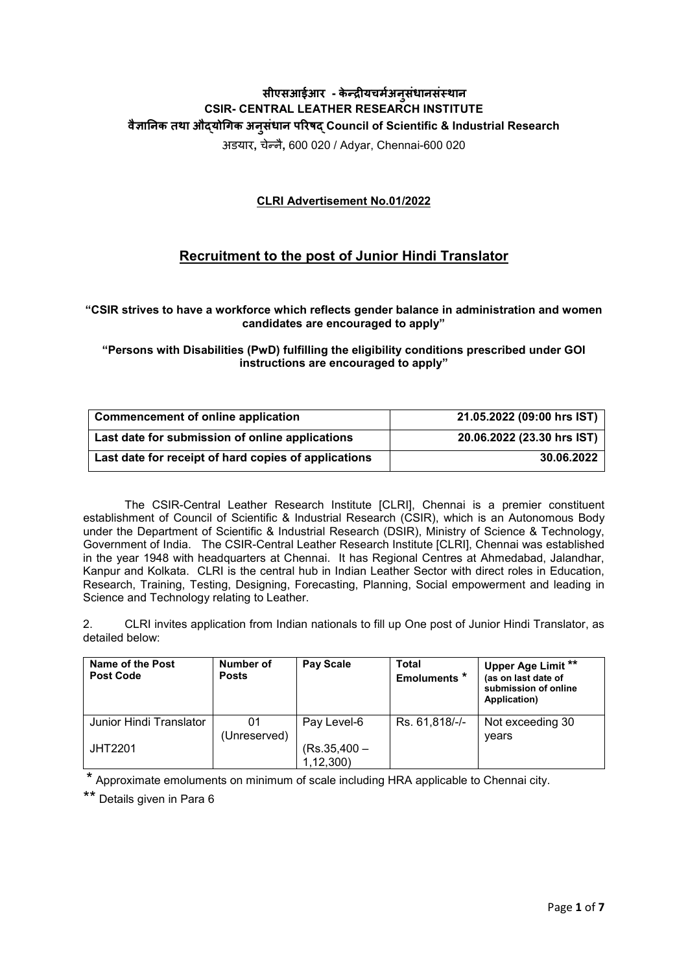# **सीएसआईआर - के न्द्र�यचमर्अनु संधानसंस्थान CSIR- CENTRAL LEATHER RESEARCH INSTITUTE वै�ा�नक तथा औद्यो�गक अनु संधान प�रषद् Council of Scientific & Industrial Research**

अडयार**,** चेन्नै**,** 600 020 / Adyar, Chennai-600 020

### **CLRI Advertisement No.01/2022**

## **Recruitment to the post of Junior Hindi Translator**

**"CSIR strives to have a workforce which reflects gender balance in administration and women candidates are encouraged to apply"**

**"Persons with Disabilities (PwD) fulfilling the eligibility conditions prescribed under GOI instructions are encouraged to apply"**

| <b>Commencement of online application</b>            | 21.05.2022 (09:00 hrs IST) |
|------------------------------------------------------|----------------------------|
| Last date for submission of online applications      | 20.06.2022 (23.30 hrs IST) |
| Last date for receipt of hard copies of applications | 30.06.2022                 |

The CSIR-Central Leather Research Institute [CLRI], Chennai is a premier constituent establishment of Council of Scientific & Industrial Research (CSIR), which is an Autonomous Body under the Department of Scientific & Industrial Research (DSIR), Ministry of Science & Technology, Government of India. The CSIR-Central Leather Research Institute [CLRI], Chennai was established in the year 1948 with headquarters at Chennai. It has Regional Centres at Ahmedabad, Jalandhar, Kanpur and Kolkata. CLRI is the central hub in Indian Leather Sector with direct roles in Education, Research, Training, Testing, Designing, Forecasting, Planning, Social empowerment and leading in Science and Technology relating to Leather.

2. CLRI invites application from Indian nationals to fill up One post of Junior Hindi Translator, as detailed below:

| Name of the Post<br><b>Post Code</b> | Number of<br><b>Posts</b> | <b>Pay Scale</b> | <b>Total</b><br>Emoluments <sup>*</sup> | Upper Age Limit **<br>(as on last date of<br>submission of online<br>Application) |
|--------------------------------------|---------------------------|------------------|-----------------------------------------|-----------------------------------------------------------------------------------|
| Junior Hindi Translator              | 01                        | Pay Level-6      | Rs. 61,818/-/-                          | Not exceeding 30                                                                  |
|                                      | (Unreserved)              |                  |                                         | vears                                                                             |
| <b>JHT2201</b>                       |                           | $(Rs.35,400 -$   |                                         |                                                                                   |
|                                      |                           | 1, 12, 300       |                                         |                                                                                   |

\* Approximate emoluments on minimum of scale including HRA applicable to Chennai city.

\*\* Details given in Para 6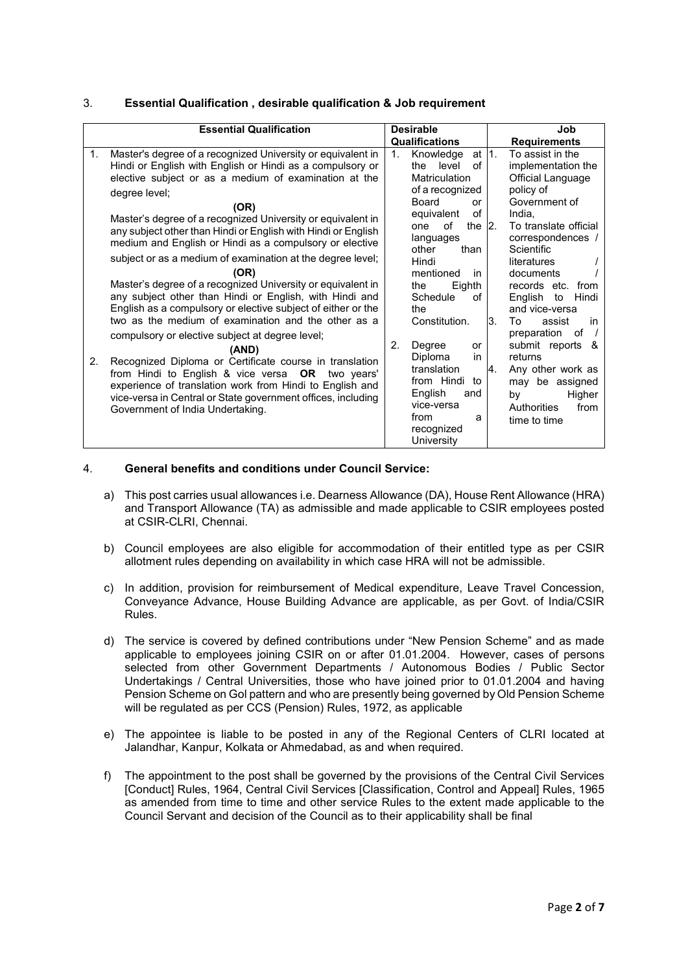#### 3. **Essential Qualification , desirable qualification & Job requirement**

#### 4. **General benefits and conditions under Council Service:**

- a) This post carries usual allowances i.e. Dearness Allowance (DA), House Rent Allowance (HRA) and Transport Allowance (TA) as admissible and made applicable to CSIR employees posted at CSIR-CLRI, Chennai.
- b) Council employees are also eligible for accommodation of their entitled type as per CSIR allotment rules depending on availability in which case HRA will not be admissible.
- c) In addition, provision for reimbursement of Medical expenditure, Leave Travel Concession, Conveyance Advance, House Building Advance are applicable, as per Govt. of India/CSIR Rules.
- d) The service is covered by defined contributions under "New Pension Scheme" and as made applicable to employees joining CSIR on or after 01.01.2004. However, cases of persons selected from other Government Departments / Autonomous Bodies / Public Sector Undertakings / Central Universities, those who have joined prior to 01.01.2004 and having Pension Scheme on Gol pattern and who are presently being governed by Old Pension Scheme will be regulated as per CCS (Pension) Rules, 1972, as applicable
- e) The appointee is liable to be posted in any of the Regional Centers of CLRI located at Jalandhar, Kanpur, Kolkata or Ahmedabad, as and when required.
- f) The appointment to the post shall be governed by the provisions of the Central Civil Services [Conduct] Rules, 1964, Central Civil Services [Classification, Control and Appeal] Rules, 1965 as amended from time to time and other service Rules to the extent made applicable to the Council Servant and decision of the Council as to their applicability shall be final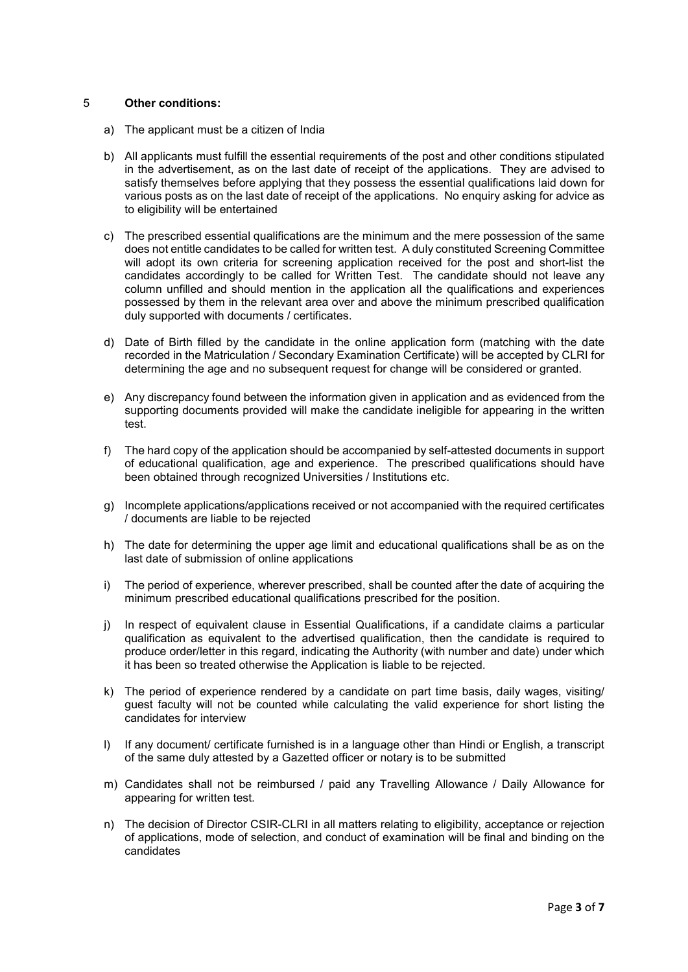#### 5 **Other conditions:**

- a) The applicant must be a citizen of India
- b) All applicants must fulfill the essential requirements of the post and other conditions stipulated in the advertisement, as on the last date of receipt of the applications. They are advised to satisfy themselves before applying that they possess the essential qualifications laid down for various posts as on the last date of receipt of the applications. No enquiry asking for advice as to eligibility will be entertained
- c) The prescribed essential qualifications are the minimum and the mere possession of the same does not entitle candidates to be called for written test. A duly constituted Screening Committee will adopt its own criteria for screening application received for the post and short-list the candidates accordingly to be called for Written Test. The candidate should not leave any column unfilled and should mention in the application all the qualifications and experiences possessed by them in the relevant area over and above the minimum prescribed qualification duly supported with documents / certificates.
- d) Date of Birth filled by the candidate in the online application form (matching with the date recorded in the Matriculation / Secondary Examination Certificate) will be accepted by CLRI for determining the age and no subsequent request for change will be considered or granted.
- e) Any discrepancy found between the information given in application and as evidenced from the supporting documents provided will make the candidate ineligible for appearing in the written test.
- f) The hard copy of the application should be accompanied by self-attested documents in support of educational qualification, age and experience. The prescribed qualifications should have been obtained through recognized Universities / Institutions etc.
- g) Incomplete applications/applications received or not accompanied with the required certificates / documents are liable to be rejected
- h) The date for determining the upper age limit and educational qualifications shall be as on the last date of submission of online applications
- i) The period of experience, wherever prescribed, shall be counted after the date of acquiring the minimum prescribed educational qualifications prescribed for the position.
- j) In respect of equivalent clause in Essential Qualifications, if a candidate claims a particular qualification as equivalent to the advertised qualification, then the candidate is required to produce order/letter in this regard, indicating the Authority (with number and date) under which it has been so treated otherwise the Application is liable to be rejected.
- k) The period of experience rendered by a candidate on part time basis, daily wages, visiting/ guest faculty will not be counted while calculating the valid experience for short listing the candidates for interview
- l) If any document/ certificate furnished is in a language other than Hindi or English, a transcript of the same duly attested by a Gazetted officer or notary is to be submitted
- m) Candidates shall not be reimbursed / paid any Travelling Allowance / Daily Allowance for appearing for written test.
- n) The decision of Director CSIR-CLRI in all matters relating to eligibility, acceptance or rejection of applications, mode of selection, and conduct of examination will be final and binding on the candidates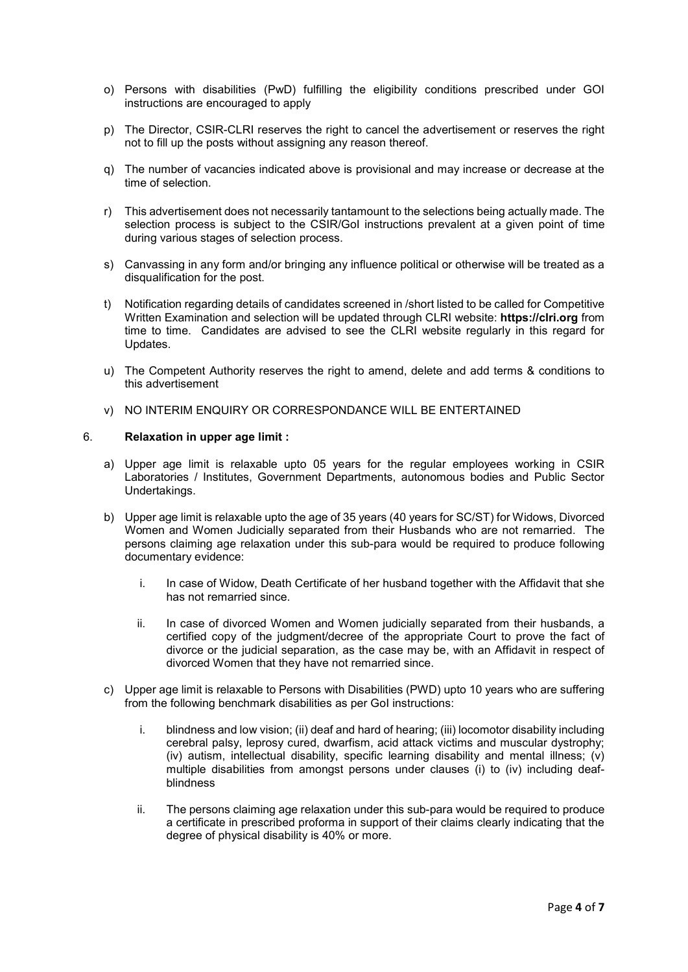- o) Persons with disabilities (PwD) fulfilling the eligibility conditions prescribed under GOI instructions are encouraged to apply
- p) The Director, CSIR-CLRI reserves the right to cancel the advertisement or reserves the right not to fill up the posts without assigning any reason thereof.
- q) The number of vacancies indicated above is provisional and may increase or decrease at the time of selection.
- r) This advertisement does not necessarily tantamount to the selections being actually made. The selection process is subject to the CSIR/GoI instructions prevalent at a given point of time during various stages of selection process.
- s) Canvassing in any form and/or bringing any influence political or otherwise will be treated as a disqualification for the post.
- t) Notification regarding details of candidates screened in /short listed to be called for Competitive Written Examination and selection will be updated through CLRI website: **https://clri.org** from time to time. Candidates are advised to see the CLRI website regularly in this regard for Updates.
- u) The Competent Authority reserves the right to amend, delete and add terms & conditions to this advertisement
- v) NO INTERIM ENQUIRY OR CORRESPONDANCE WILL BE ENTERTAINED

#### 6. **Relaxation in upper age limit :**

- a) Upper age limit is relaxable upto 05 years for the regular employees working in CSIR Laboratories / Institutes, Government Departments, autonomous bodies and Public Sector Undertakings.
- b) Upper age limit is relaxable upto the age of 35 years (40 years for SC/ST) for Widows, Divorced Women and Women Judicially separated from their Husbands who are not remarried. The persons claiming age relaxation under this sub-para would be required to produce following documentary evidence:
	- i. In case of Widow, Death Certificate of her husband together with the Affidavit that she has not remarried since.
	- ii. In case of divorced Women and Women judicially separated from their husbands, a certified copy of the judgment/decree of the appropriate Court to prove the fact of divorce or the judicial separation, as the case may be, with an Affidavit in respect of divorced Women that they have not remarried since.
- c) Upper age limit is relaxable to Persons with Disabilities (PWD) upto 10 years who are suffering from the following benchmark disabilities as per GoI instructions:
	- i. blindness and low vision; (ii) deaf and hard of hearing; (iii) locomotor disability including cerebral palsy, leprosy cured, dwarfism, acid attack victims and muscular dystrophy; (iv) autism, intellectual disability, specific learning disability and mental illness; (v) multiple disabilities from amongst persons under clauses (i) to (iv) including deafblindness
	- ii. The persons claiming age relaxation under this sub-para would be required to produce a certificate in prescribed proforma in support of their claims clearly indicating that the degree of physical disability is 40% or more.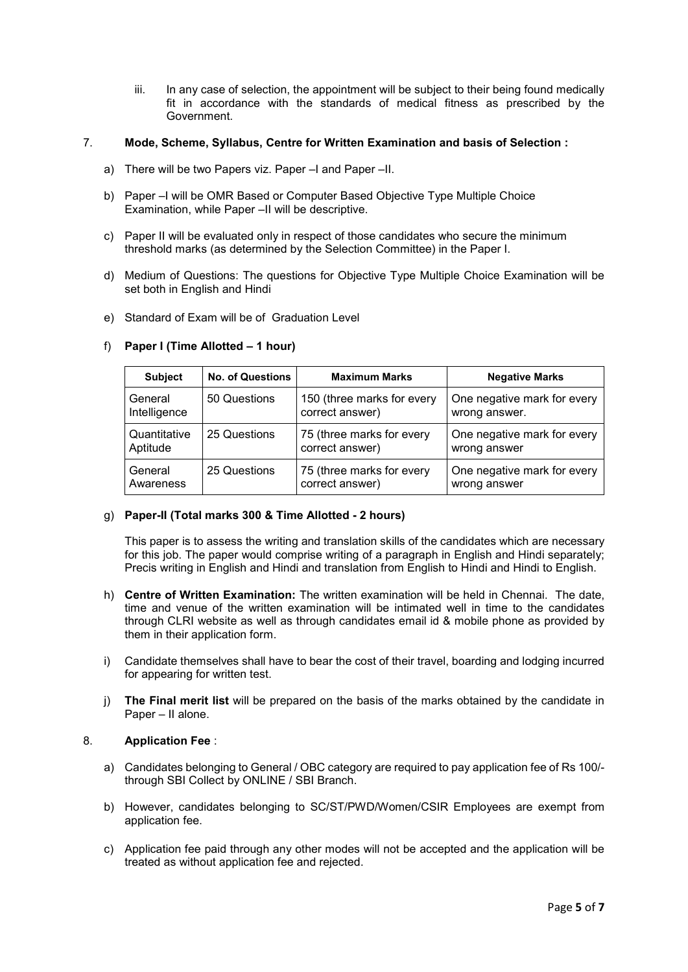iii. In any case of selection, the appointment will be subject to their being found medically fit in accordance with the standards of medical fitness as prescribed by the Government.

#### 7. **Mode, Scheme, Syllabus, Centre for Written Examination and basis of Selection :**

- a) There will be two Papers viz. Paper –I and Paper –II.
- b) Paper –I will be OMR Based or Computer Based Objective Type Multiple Choice Examination, while Paper –II will be descriptive.
- c) Paper II will be evaluated only in respect of those candidates who secure the minimum threshold marks (as determined by the Selection Committee) in the Paper I.
- d) Medium of Questions: The questions for Objective Type Multiple Choice Examination will be set both in English and Hindi
- e) Standard of Exam will be of Graduation Level

#### f) **Paper I (Time Allotted – 1 hour)**

| <b>Subject</b> | <b>No. of Questions</b> | <b>Maximum Marks</b>       | <b>Negative Marks</b>       |
|----------------|-------------------------|----------------------------|-----------------------------|
| General        | 50 Questions            | 150 (three marks for every | One negative mark for every |
| Intelligence   |                         | correct answer)            | wrong answer.               |
| Quantitative   | 25 Questions            | 75 (three marks for every  | One negative mark for every |
| Aptitude       |                         | correct answer)            | wrong answer                |
| General        | 25 Questions            | 75 (three marks for every  | One negative mark for every |
| Awareness      |                         | correct answer)            | wrong answer                |

#### g) **Paper-II (Total marks 300 & Time Allotted - 2 hours)**

This paper is to assess the writing and translation skills of the candidates which are necessary for this job. The paper would comprise writing of a paragraph in English and Hindi separately; Precis writing in English and Hindi and translation from English to Hindi and Hindi to English.

- h) **Centre of Written Examination:** The written examination will be held in Chennai. The date, time and venue of the written examination will be intimated well in time to the candidates through CLRI website as well as through candidates email id & mobile phone as provided by them in their application form.
- i) Candidate themselves shall have to bear the cost of their travel, boarding and lodging incurred for appearing for written test.
- j) **The Final merit list** will be prepared on the basis of the marks obtained by the candidate in Paper – II alone.

#### 8. **Application Fee** :

- a) Candidates belonging to General / OBC category are required to pay application fee of Rs 100/ through SBI Collect by ONLINE / SBI Branch.
- b) However, candidates belonging to SC/ST/PWD/Women/CSIR Employees are exempt from application fee.
- c) Application fee paid through any other modes will not be accepted and the application will be treated as without application fee and rejected.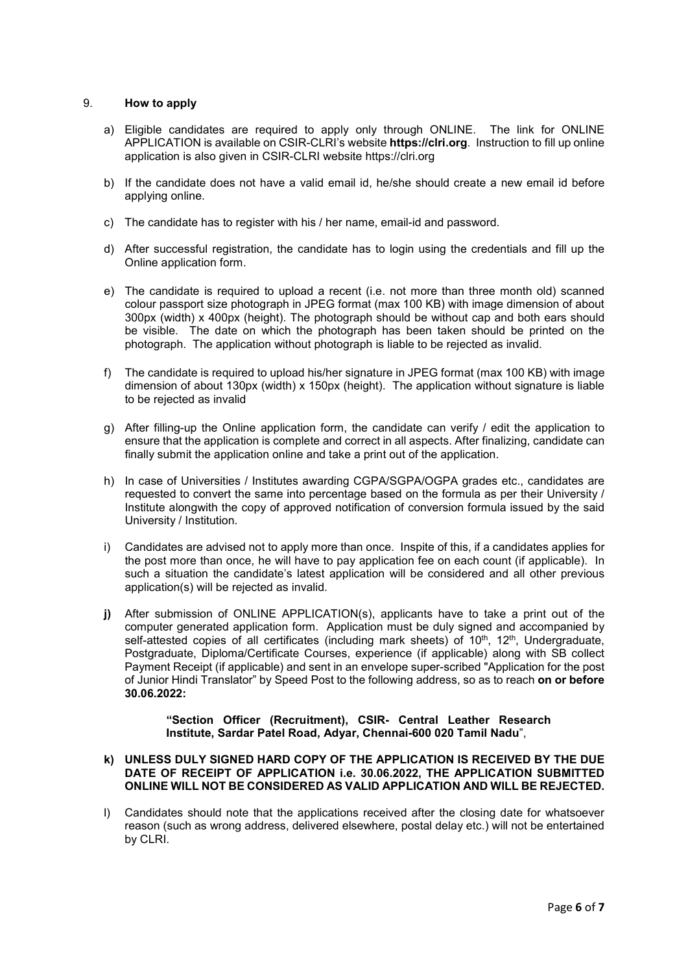#### 9. **How to apply**

- a) Eligible candidates are required to apply only through ONLINE. The link for ONLINE APPLICATION is available on CSIR-CLRI's website **https://clri.org**. Instruction to fill up online application is also given in CSIR-CLRI website https://clri.org
- b) If the candidate does not have a valid email id, he/she should create a new email id before applying online.
- c) The candidate has to register with his / her name, email-id and password.
- d) After successful registration, the candidate has to login using the credentials and fill up the Online application form.
- e) The candidate is required to upload a recent (i.e. not more than three month old) scanned colour passport size photograph in JPEG format (max 100 KB) with image dimension of about 300px (width) x 400px (height). The photograph should be without cap and both ears should be visible. The date on which the photograph has been taken should be printed on the photograph. The application without photograph is liable to be rejected as invalid.
- f) The candidate is required to upload his/her signature in JPEG format (max 100 KB) with image dimension of about 130px (width) x 150px (height). The application without signature is liable to be rejected as invalid
- g) After filling-up the Online application form, the candidate can verify / edit the application to ensure that the application is complete and correct in all aspects. After finalizing, candidate can finally submit the application online and take a print out of the application.
- h) In case of Universities / Institutes awarding CGPA/SGPA/OGPA grades etc., candidates are requested to convert the same into percentage based on the formula as per their University / Institute alongwith the copy of approved notification of conversion formula issued by the said University / Institution.
- i) Candidates are advised not to apply more than once. Inspite of this, if a candidates applies for the post more than once, he will have to pay application fee on each count (if applicable). In such a situation the candidate's latest application will be considered and all other previous application(s) will be rejected as invalid.
- **j)** After submission of ONLINE APPLICATION(s), applicants have to take a print out of the computer generated application form. Application must be duly signed and accompanied by self-attested copies of all certificates (including mark sheets) of 10<sup>th</sup>, 12<sup>th</sup>, Undergraduate, Postgraduate, Diploma/Certificate Courses, experience (if applicable) along with SB collect Payment Receipt (if applicable) and sent in an envelope super-scribed "Application for the post of Junior Hindi Translator" by Speed Post to the following address, so as to reach **on or before 30.06.2022:**

#### **"Section Officer (Recruitment), CSIR- Central Leather Research Institute, Sardar Patel Road, Adyar, Chennai-600 020 Tamil Nadu**",

#### **k) UNLESS DULY SIGNED HARD COPY OF THE APPLICATION IS RECEIVED BY THE DUE DATE OF RECEIPT OF APPLICATION i.e. 30.06.2022, THE APPLICATION SUBMITTED ONLINE WILL NOT BE CONSIDERED AS VALID APPLICATION AND WILL BE REJECTED.**

l) Candidates should note that the applications received after the closing date for whatsoever reason (such as wrong address, delivered elsewhere, postal delay etc.) will not be entertained by CLRI.